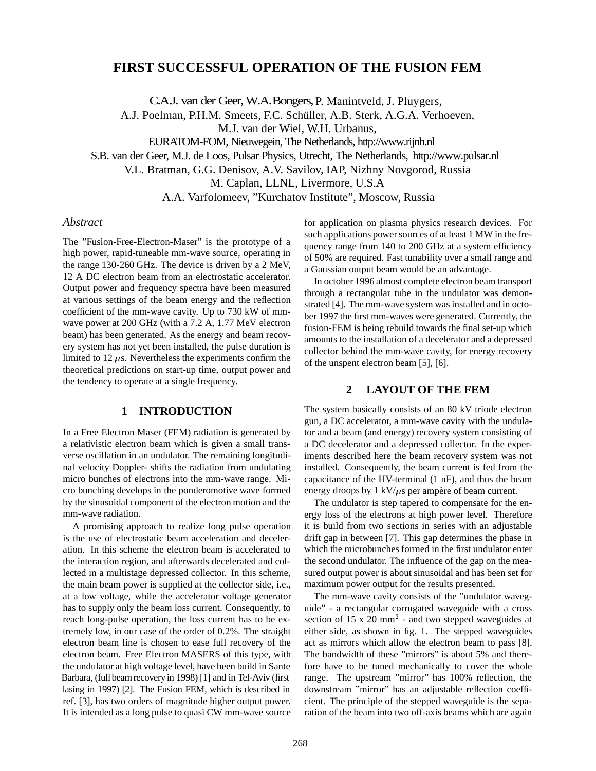# **FIRST SUCCESSFUL OPERATION OF THE FUSION FEM**

C.A.J. van der Geer, W.A. Bongers, P. Manintveld, J. Pluygers,

A.J. Poelman, P.H.M. Smeets, F.C. Schüller, A.B. Sterk, A.G.A. Verhoeven,

M.J. van der Wiel, W.H. Urbanus,

EURATOM-FOM, Nieuwegein, The Netherlands, http://www.rijnh.nl

S.B. van der Geer, M.J. de Loos, Pulsar Physics, Utrecht, The Netherlands, http://www.pulsar.nl <sup>y</sup>

V.L. Bratman, G.G. Denisov, A.V. Savilov, IAP, Nizhny Novgorod, Russia

M. Caplan, LLNL, Livermore, U.S.A

A.A. Varfolomeev, "Kurchatov Institute", Moscow, Russia

#### *Abstract*

The "Fusion-Free-Electron-Maser" is the prototype of a high power, rapid-tuneable mm-wave source, operating in the range 130-260 GHz. The device is driven by a 2 MeV, 12 A DC electron beam from an electrostatic accelerator. Output power and frequency spectra have been measured at various settings of the beam energy and the reflection coefficient of the mm-wave cavity. Up to 730 kW of mmwave power at 200 GHz (with a 7.2 A, 1.77 MeV electron beam) has been generated. As the energy and beam recovery system has not yet been installed, the pulse duration is limited to 12  $\mu$ s. Nevertheless the experiments confirm the theoretical predictions on start-up time, output power and the tendency to operate at a single frequency.

## **1 INTRODUCTION**

In a Free Electron Maser (FEM) radiation is generated by a relativistic electron beam which is given a small transverse oscillation in an undulator. The remaining longitudinal velocity Doppler- shifts the radiation from undulating micro bunches of electrons into the mm-wave range. Micro bunching develops in the ponderomotive wave formed by the sinusoidal component of the electron motion and the mm-wave radiation.

A promising approach to realize long pulse operation is the use of electrostatic beam acceleration and deceleration. In this scheme the electron beam is accelerated to the interaction region, and afterwards decelerated and collected in a multistage depressed collector. In this scheme, the main beam power is supplied at the collector side, i.e., at a low voltage, while the accelerator voltage generator has to supply only the beam loss current. Consequently, to reach long-pulse operation, the loss current has to be extremely low, in our case of the order of 0.2%. The straight electron beam line is chosen to ease full recovery of the electron beam. Free Electron MASERS of this type, with the undulator at high voltage level, have been build in Sante Barbara, (full beam recovery in 1998) [1] and in Tel-Aviv (first lasing in 1997) [2]. The Fusion FEM, which is described in ref. [3], has two orders of magnitude higher output power. It is intended as a long pulse to quasi CW mm-wave source for application on plasma physics research devices. For such applications power sources of at least 1 MW in the frequency range from 140 to 200 GHz at a system efficiency of 50% are required. Fast tunability over a small range and a Gaussian output beam would be an advantage.

In october 1996 almost complete electron beam transport through a rectangular tube in the undulator was demonstrated [4]. The mm-wave system was installed and in october 1997 the first mm-waves were generated. Currently, the fusion-FEM is being rebuild towards the final set-up which amounts to the installation of a decelerator and a depressed collector behind the mm-wave cavity, for energy recovery of the unspent electron beam [5], [6].

#### **2 LAYOUT OF THE FEM**

The system basically consists of an 80 kV triode electron gun, a DC accelerator, a mm-wave cavity with the undulator and a beam (and energy) recovery system consisting of a DC decelerator and a depressed collector. In the experiments described here the beam recovery system was not installed. Consequently, the beam current is fed from the capacitance of the HV-terminal (1 nF), and thus the beam energy droops by 1 kV/ $\mu$ s per ampère of beam current.

The undulator is step tapered to compensate for the energy loss of the electrons at high power level. Therefore it is build from two sections in series with an adjustable drift gap in between [7]. This gap determines the phase in which the microbunches formed in the first undulator enter the second undulator. The influence of the gap on the measured output power is about sinusoidal and has been set for maximum power output for the results presented.

The mm-wave cavity consists of the "undulator waveguide" - a rectangular corrugated waveguide with a cross section of  $15 \times 20$  mm<sup>2</sup> - and two stepped waveguides at either side, as shown in fig. 1. The stepped waveguides act as mirrors which allow the electron beam to pass [8]. The bandwidth of these "mirrors" is about 5% and therefore have to be tuned mechanically to cover the whole range. The upstream "mirror" has 100% reflection, the downstream "mirror" has an adjustable reflection coefficient. The principle of the stepped waveguide is the separation of the beam into two off-axis beams which are again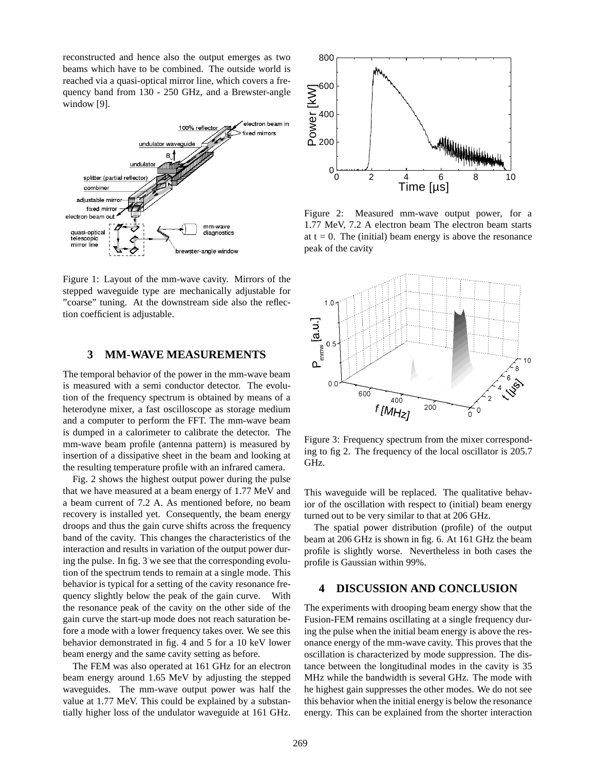reconstructed and hence also the output emerges as two beams which have to be combined. The outside world is reached via a quasi-optical mirror line, which covers a frequency band from 130 - 250 GHz, and a Brewster-angle window [9].



Figure 1: Layout of the mm-wave cavity. Mirrors of the stepped waveguide type are mechanically adjustable for "coarse" tuning. At the downstream side also the reflection coefficient is adjustable.

## **3 MM-WAVE MEASUREMENTS**

The temporal behavior of the power in the mm-wave beam is measured with a semi conductor detector. The evolution of the frequency spectrum is obtained by means of a heterodyne mixer, a fast oscilloscope as storage medium and a computer to perform the FFT. The mm-wave beam is dumped in a calorimeter to calibrate the detector. The mm-wave beam profile (antenna pattern) is measured by insertion of a dissipative sheet in the beam and looking at the resulting temperature profile with an infrared camera.

Fig. 2 shows the highest output power during the pulse that we have measured at a beam energy of 1.77 MeV and a beam current of 7.2 A. As mentioned before, no beam recovery is installed yet. Consequently, the beam energy droops and thus the gain curve shifts across the frequency band of the cavity. This changes the characteristics of the interaction and results in variation of the output power during the pulse. In fig. 3 we see that the corresponding evolution of the spectrum tends to remain at a single mode. This behavior is typical for a setting of the cavity resonance frequency slightly below the peak of the gain curve. With the resonance peak of the cavity on the other side of the gain curve the start-up mode does not reach saturation before a mode with a lower frequency takes over. We see this behavior demonstrated in fig. 4 and 5 for a 10 keV lower beam energy and the same cavity setting as before.

The FEM was also operated at 161 GHz for an electron beam energy around 1.65 MeV by adjusting the stepped waveguides. The mm-wave output power was half the value at 1.77 MeV. This could be explained by a substantially higher loss of the undulator waveguide at 161 GHz.



Figure 2: Measured mm-wave output power, for a 1.77 MeV, 7.2 A electron beam The electron beam starts at  $t = 0$ . The (initial) beam energy is above the resonance peak of the cavity



Figure 3: Frequency spectrum from the mixer corresponding to fig 2. The frequency of the local oscillator is 205.7 GHz.

This waveguide will be replaced. The qualitative behavior of the oscillation with respect to (initial) beam energy turned out to be very similar to that at 206 GHz.

The spatial power distribution (profile) of the output beam at 206 GHz is shown in fig. 6. At 161 GHz the beam profile is slightly worse. Nevertheless in both cases the profile is Gaussian within 99%.

## **4 DISCUSSION AND CONCLUSION**

The experiments with drooping beam energy show that the Fusion-FEM remains oscillating at a single frequency during the pulse when the initial beam energy is above the resonance energy of the mm-wave cavity. This proves that the oscillation is characterized by mode suppression. The distance between the longitudinal modes in the cavity is 35 MHz while the bandwidth is several GHz. The mode with he highest gain suppresses the other modes. We do not see this behavior when the initial energy is below the resonance energy. This can be explained from the shorter interaction